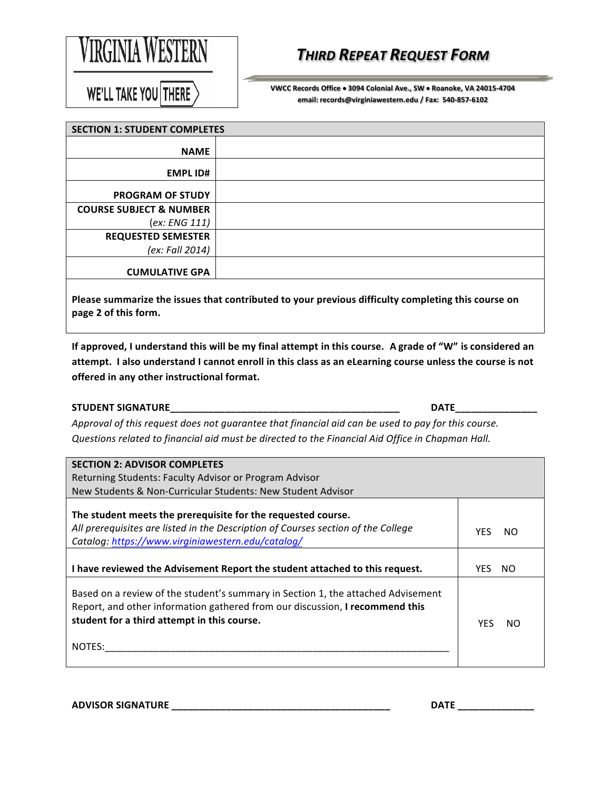

## *THIRD REPEAT REQUEST FORM*

WE'LL TAKE YOU THERE

 **VWCC Records Office** • **3094 Colonial Ave., SW** • **Roanoke, VA 24015-4704 email: records@virginiawestern.edu / Fax: 540-857-6102**

| <b>SECTION 1: STUDENT COMPLETES</b> |                                                                                                    |
|-------------------------------------|----------------------------------------------------------------------------------------------------|
| <b>NAME</b>                         |                                                                                                    |
| <b>EMPL ID#</b>                     |                                                                                                    |
| <b>PROGRAM OF STUDY</b>             |                                                                                                    |
| <b>COURSE SUBJECT &amp; NUMBER</b>  |                                                                                                    |
| (ex: ENG 111)                       |                                                                                                    |
| <b>REQUESTED SEMESTER</b>           |                                                                                                    |
| (ex: Fall 2014)                     |                                                                                                    |
| <b>CUMULATIVE GPA</b>               |                                                                                                    |
|                                     | Dlages summarize the issues that contributed to your provious difficulty completing this source on |

 **Please summarize the issues that contributed to your previous difficulty completing this course on page 2 of this form.**

attempt. I also understand I cannot enroll in this class as an eLearning course unless the course is not  **offered in any other instructional format. If approved, I understand this will be my final attempt in this course.** A grade of "W" is considered an

## **STUDENT SIGNATURE\_\_\_\_\_\_\_\_\_\_\_\_\_\_\_\_\_\_\_\_\_\_\_\_\_\_\_\_\_\_\_\_\_\_\_\_\_\_\_\_\_\_ DATE\_\_\_\_\_\_\_\_\_\_\_\_\_\_\_**

Approval of this request does not guarantee that financial aid can be used to pay for this course. Questions related to financial aid must be directed to the Financial Aid Office in Chapman Hall.

| <b>SECTION 2: ADVISOR COMPLETES</b>                                                                                                                                                                                       |            |     |
|---------------------------------------------------------------------------------------------------------------------------------------------------------------------------------------------------------------------------|------------|-----|
| Returning Students: Faculty Advisor or Program Advisor                                                                                                                                                                    |            |     |
| New Students & Non-Curricular Students: New Student Advisor                                                                                                                                                               |            |     |
| The student meets the prerequisite for the requested course.<br>All prerequisites are listed in the Description of Courses section of the College<br>Catalog: https://www.virginiawestern.edu/catalog/                    | <b>YFS</b> | NO. |
| I have reviewed the Advisement Report the student attached to this request.                                                                                                                                               | YFS.       | NO. |
| Based on a review of the student's summary in Section 1, the attached Advisement<br>Report, and other information gathered from our discussion, I recommend this<br>student for a third attempt in this course.<br>NOTES: | <b>YFS</b> | NO. |

| <b>ADVISOR SIGNATURE</b> |  |  |
|--------------------------|--|--|
|                          |  |  |

**ADVISOR SIGNATURE \_\_\_\_\_\_\_\_\_\_\_\_\_\_\_\_\_\_\_\_\_\_\_\_\_\_\_\_\_\_\_\_\_\_\_\_\_\_\_\_ DATE \_\_\_\_\_\_\_\_\_\_\_\_\_\_**